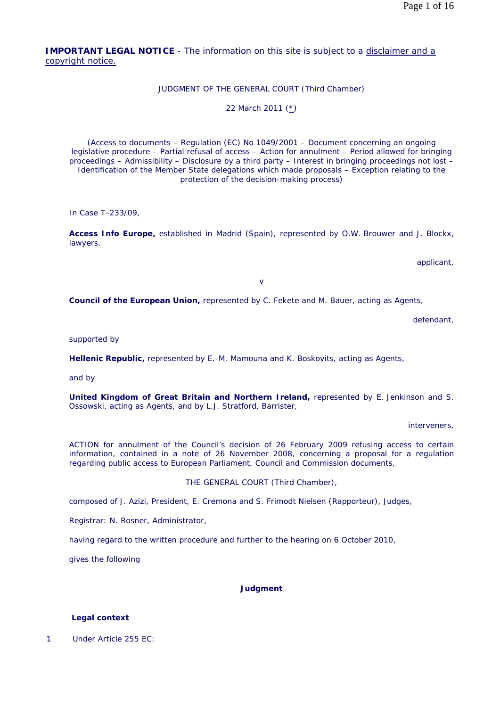**IMPORTANT LEGAL NOTICE** - The information on this site is subject to a disclaimer and a copyright notice.

# JUDGMENT OF THE GENERAL COURT (Third Chamber)

22 March 2011 (\*)

(Access to documents – Regulation (EC) No 1049/2001 – Document concerning an ongoing legislative procedure – Partial refusal of access – Action for annulment – Period allowed for bringing proceedings – Admissibility – Disclosure by a third party – Interest in bringing proceedings not lost – Identification of the Member State delegations which made proposals – Exception relating to the protection of the decision-making process)

In Case T-233/09,

**Access Info Europe,** established in Madrid (Spain), represented by O.W. Brouwer and J. Blockx, lawyers,

applicant,

v

**Council of the European Union,** represented by C. Fekete and M. Bauer, acting as Agents,

defendant,

supported by

**Hellenic Republic,** represented by E.-M. Mamouna and K. Boskovits, acting as Agents,

and by

**United Kingdom of Great Britain and Northern Ireland,** represented by E. Jenkinson and S. Ossowski, acting as Agents, and by L.J. Stratford, Barrister,

interveners,

ACTION for annulment of the Council's decision of 26 February 2009 refusing access to certain information, contained in a note of 26 November 2008, concerning a proposal for a regulation regarding public access to European Parliament, Council and Commission documents,

THE GENERAL COURT (Third Chamber),

composed of J. Azizi, President, E. Cremona and S. Frimodt Nielsen (Rapporteur), Judges,

Registrar: N. Rosner, Administrator,

having regard to the written procedure and further to the hearing on 6 October 2010,

gives the following

#### **Judgment**

#### **Legal context**

1 Under Article 255 EC: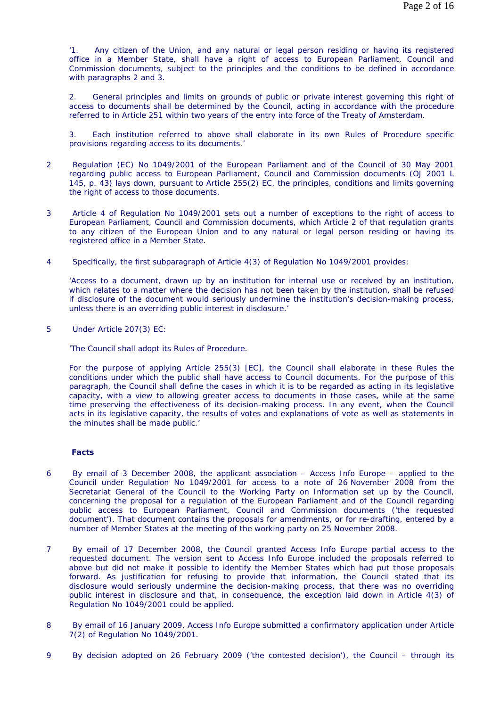'1. Any citizen of the Union, and any natural or legal person residing or having its registered office in a Member State, shall have a right of access to European Parliament, Council and Commission documents, subject to the principles and the conditions to be defined in accordance with paragraphs 2 and 3.

2. General principles and limits on grounds of public or private interest governing this right of access to documents shall be determined by the Council, acting in accordance with the procedure referred to in Article 251 within two years of the entry into force of the Treaty of Amsterdam.

Each institution referred to above shall elaborate in its own Rules of Procedure specific provisions regarding access to its documents.'

- 2 Regulation (EC) No 1049/2001 of the European Parliament and of the Council of 30 May 2001 regarding public access to European Parliament, Council and Commission documents (OJ 2001 L 145, p. 43) lays down, pursuant to Article 255(2) EC, the principles, conditions and limits governing the right of access to those documents.
- 3 Article 4 of Regulation No 1049/2001 sets out a number of exceptions to the right of access to European Parliament, Council and Commission documents, which Article 2 of that regulation grants to any citizen of the European Union and to any natural or legal person residing or having its registered office in a Member State.
- 4 Specifically, the first subparagraph of Article 4(3) of Regulation No 1049/2001 provides:

'Access to a document, drawn up by an institution for internal use or received by an institution, which relates to a matter where the decision has not been taken by the institution, shall be refused if disclosure of the document would seriously undermine the institution's decision-making process, unless there is an overriding public interest in disclosure.'

5 Under Article 207(3) EC:

'The Council shall adopt its Rules of Procedure.

For the purpose of applying Article 255(3) [EC], the Council shall elaborate in these Rules the conditions under which the public shall have access to Council documents. For the purpose of this paragraph, the Council shall define the cases in which it is to be regarded as acting in its legislative capacity, with a view to allowing greater access to documents in those cases, while at the same time preserving the effectiveness of its decision-making process. In any event, when the Council acts in its legislative capacity, the results of votes and explanations of vote as well as statements in the minutes shall be made public.'

## **Facts**

- 6 By email of 3 December 2008, the applicant association Access Info Europe applied to the Council under Regulation No 1049/2001 for access to a note of 26 November 2008 from the Secretariat General of the Council to the Working Party on Information set up by the Council, concerning the proposal for a regulation of the European Parliament and of the Council regarding public access to European Parliament, Council and Commission documents ('the requested document'). That document contains the proposals for amendments, or for re-drafting, entered by a number of Member States at the meeting of the working party on 25 November 2008.
- 7 By email of 17 December 2008, the Council granted Access Info Europe partial access to the requested document. The version sent to Access Info Europe included the proposals referred to above but did not make it possible to identify the Member States which had put those proposals forward. As justification for refusing to provide that information, the Council stated that its disclosure would seriously undermine the decision-making process, that there was no overriding public interest in disclosure and that, in consequence, the exception laid down in Article 4(3) of Regulation No 1049/2001 could be applied.
- 8 By email of 16 January 2009, Access Info Europe submitted a confirmatory application under Article 7(2) of Regulation No 1049/2001.
- 9 By decision adopted on 26 February 2009 ('the contested decision'), the Council through its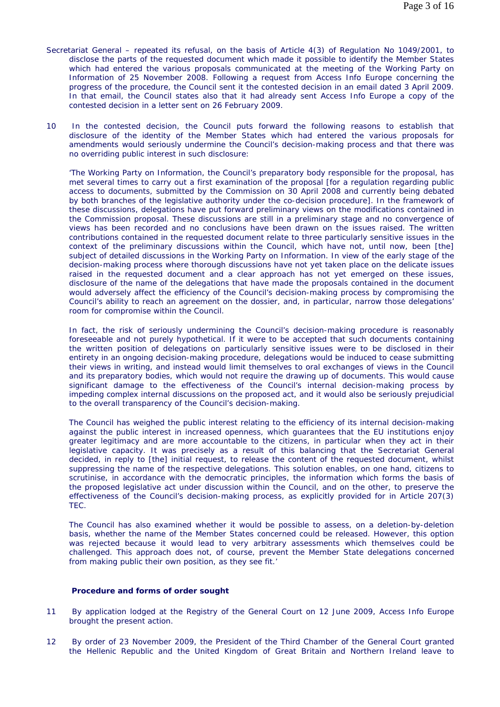- Secretariat General repeated its refusal, on the basis of Article 4(3) of Regulation No 1049/2001, to disclose the parts of the requested document which made it possible to identify the Member States which had entered the various proposals communicated at the meeting of the Working Party on Information of 25 November 2008. Following a request from Access Info Europe concerning the progress of the procedure, the Council sent it the contested decision in an email dated 3 April 2009. In that email, the Council states also that it had already sent Access Info Europe a copy of the contested decision in a letter sent on 26 February 2009.
- 10 In the contested decision, the Council puts forward the following reasons to establish that disclosure of the identity of the Member States which had entered the various proposals for amendments would seriously undermine the Council's decision-making process and that there was no overriding public interest in such disclosure:

'The Working Party on Information, the Council's preparatory body responsible for the proposal, has met several times to carry out a first examination of the proposal [for a regulation regarding public access to documents, submitted by the Commission on 30 April 2008 and currently being debated by both branches of the legislative authority under the co-decision procedure]. In the framework of these discussions, delegations have put forward preliminary views on the modifications contained in the Commission proposal. These discussions are still in a preliminary stage and no convergence of views has been recorded and no conclusions have been drawn on the issues raised. The written contributions contained in the requested document relate to three particularly sensitive issues in the context of the preliminary discussions within the Council, which have not, until now, been [the] subject of detailed discussions in the Working Party on Information. In view of the early stage of the decision-making process where thorough discussions have not yet taken place on the delicate issues raised in the requested document and a clear approach has not yet emerged on these issues, disclosure of the name of the delegations that have made the proposals contained in the document would adversely affect the efficiency of the Council's decision-making process by compromising the Council's ability to reach an agreement on the dossier, and, in particular, narrow those delegations' room for compromise within the Council.

In fact, the risk of seriously undermining the Council's decision-making procedure is reasonably foreseeable and not purely hypothetical. If it were to be accepted that such documents containing the written position of delegations on particularly sensitive issues were to be disclosed in their entirety in an ongoing decision-making procedure, delegations would be induced to cease submitting their views in writing, and instead would limit themselves to oral exchanges of views in the Council and its preparatory bodies, which would not require the drawing up of documents. This would cause significant damage to the effectiveness of the Council's internal decision-making process by impeding complex internal discussions on the proposed act, and it would also be seriously prejudicial to the overall transparency of the Council's decision-making.

The Council has weighed the public interest relating to the efficiency of its internal decision-making against the public interest in increased openness, which guarantees that the EU institutions enjoy greater legitimacy and are more accountable to the citizens, in particular when they act in their legislative capacity. It was precisely as a result of this balancing that the Secretariat General decided, in reply to [the] initial request, to release the content of the requested document, whilst suppressing the name of the respective delegations. This solution enables, on one hand, citizens to scrutinise, in accordance with the democratic principles, the information which forms the basis of the proposed legislative act under discussion within the Council, and on the other, to preserve the effectiveness of the Council's decision-making process, as explicitly provided for in Article 207(3) TEC.

The Council has also examined whether it would be possible to assess, on a deletion-by-deletion basis, whether the name of the Member States concerned could be released. However, this option was rejected because it would lead to very arbitrary assessments which themselves could be challenged. This approach does not, of course, prevent the Member State delegations concerned from making public their own position, as they see fit.'

#### **Procedure and forms of order sought**

- 11 By application lodged at the Registry of the General Court on 12 June 2009, Access Info Europe brought the present action.
- 12 By order of 23 November 2009, the President of the Third Chamber of the General Court granted the Hellenic Republic and the United Kingdom of Great Britain and Northern Ireland leave to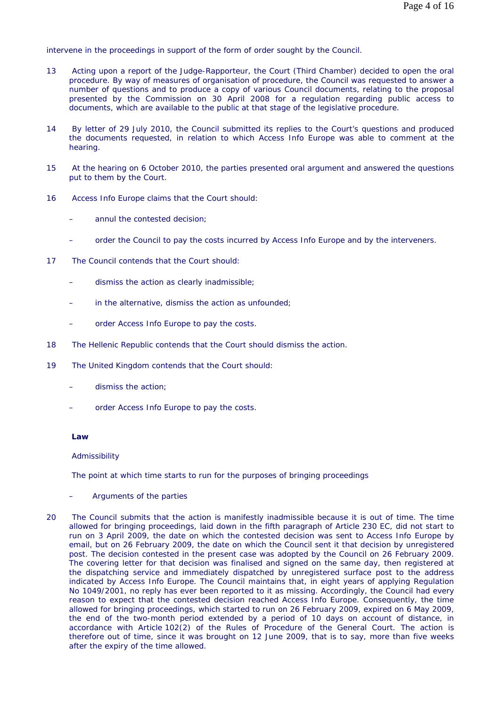intervene in the proceedings in support of the form of order sought by the Council.

- 13 Acting upon a report of the Judge-Rapporteur, the Court (Third Chamber) decided to open the oral procedure. By way of measures of organisation of procedure, the Council was requested to answer a number of questions and to produce a copy of various Council documents, relating to the proposal presented by the Commission on 30 April 2008 for a regulation regarding public access to documents, which are available to the public at that stage of the legislative procedure.
- 14 By letter of 29 July 2010, the Council submitted its replies to the Court's questions and produced the documents requested, in relation to which Access Info Europe was able to comment at the hearing.
- 15 At the hearing on 6 October 2010, the parties presented oral argument and answered the questions put to them by the Court.
- 16 Access Info Europe claims that the Court should:
	- annul the contested decision:
	- order the Council to pay the costs incurred by Access Info Europe and by the interveners.
- 17 The Council contends that the Court should:
	- dismiss the action as clearly inadmissible;
	- in the alternative, dismiss the action as unfounded;
	- order Access Info Europe to pay the costs.
- 18 The Hellenic Republic contends that the Court should dismiss the action.
- 19 The United Kingdom contends that the Court should:
	- dismiss the action;
	- order Access Info Europe to pay the costs.

### **Law**

#### *Admissibility*

The point at which time starts to run for the purposes of bringing proceedings

- Arguments of the parties
- 20 The Council submits that the action is manifestly inadmissible because it is out of time. The time allowed for bringing proceedings, laid down in the fifth paragraph of Article 230 EC, did not start to run on 3 April 2009, the date on which the contested decision was sent to Access Info Europe by email, but on 26 February 2009, the date on which the Council sent it that decision by unregistered post. The decision contested in the present case was adopted by the Council on 26 February 2009. The covering letter for that decision was finalised and signed on the same day, then registered at the dispatching service and immediately dispatched by unregistered surface post to the address indicated by Access Info Europe. The Council maintains that, in eight years of applying Regulation No 1049/2001, no reply has ever been reported to it as missing. Accordingly, the Council had every reason to expect that the contested decision reached Access Info Europe. Consequently, the time allowed for bringing proceedings, which started to run on 26 February 2009, expired on 6 May 2009, the end of the two-month period extended by a period of 10 days on account of distance, in accordance with Article 102(2) of the Rules of Procedure of the General Court. The action is therefore out of time, since it was brought on 12 June 2009, that is to say, more than five weeks after the expiry of the time allowed.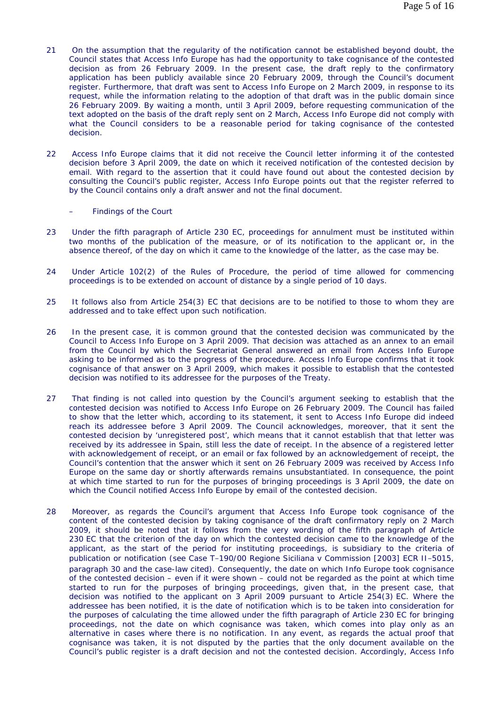- 21 On the assumption that the regularity of the notification cannot be established beyond doubt, the Council states that Access Info Europe has had the opportunity to take cognisance of the contested decision as from 26 February 2009. In the present case, the draft reply to the confirmatory application has been publicly available since 20 February 2009, through the Council's document register. Furthermore, that draft was sent to Access Info Europe on 2 March 2009, in response to its request, while the information relating to the adoption of that draft was in the public domain since 26 February 2009. By waiting a month, until 3 April 2009, before requesting communication of the text adopted on the basis of the draft reply sent on 2 March, Access Info Europe did not comply with what the Council considers to be a reasonable period for taking cognisance of the contested decision.
- 22 Access Info Europe claims that it did not receive the Council letter informing it of the contested decision before 3 April 2009, the date on which it received notification of the contested decision by email. With regard to the assertion that it could have found out about the contested decision by consulting the Council's public register, Access Info Europe points out that the register referred to by the Council contains only a draft answer and not the final document.
	- Findings of the Court
- 23 Under the fifth paragraph of Article 230 EC, proceedings for annulment must be instituted within two months of the publication of the measure, or of its notification to the applicant or, in the absence thereof, of the day on which it came to the knowledge of the latter, as the case may be.
- 24 Under Article 102(2) of the Rules of Procedure, the period of time allowed for commencing proceedings is to be extended on account of distance by a single period of 10 days.
- 25 It follows also from Article 254(3) EC that decisions are to be notified to those to whom they are addressed and to take effect upon such notification.
- 26 In the present case, it is common ground that the contested decision was communicated by the Council to Access Info Europe on 3 April 2009. That decision was attached as an annex to an email from the Council by which the Secretariat General answered an email from Access Info Europe asking to be informed as to the progress of the procedure. Access Info Europe confirms that it took cognisance of that answer on 3 April 2009, which makes it possible to establish that the contested decision was notified to its addressee for the purposes of the Treaty.
- 27 That finding is not called into question by the Council's argument seeking to establish that the contested decision was notified to Access Info Europe on 26 February 2009. The Council has failed to show that the letter which, according to its statement, it sent to Access Info Europe did indeed reach its addressee before 3 April 2009. The Council acknowledges, moreover, that it sent the contested decision by 'unregistered post', which means that it cannot establish that that letter was received by its addressee in Spain, still less the date of receipt. In the absence of a registered letter with acknowledgement of receipt, or an email or fax followed by an acknowledgement of receipt, the Council's contention that the answer which it sent on 26 February 2009 was received by Access Info Europe on the same day or shortly afterwards remains unsubstantiated. In consequence, the point at which time started to run for the purposes of bringing proceedings is 3 April 2009, the date on which the Council notified Access Info Europe by email of the contested decision.
- 28 Moreover, as regards the Council's argument that Access Info Europe took cognisance of the content of the contested decision by taking cognisance of the draft confirmatory reply on 2 March 2009, it should be noted that it follows from the very wording of the fifth paragraph of Article 230 EC that the criterion of the day on which the contested decision came to the knowledge of the applicant, as the start of the period for instituting proceedings, is subsidiary to the criteria of publication or notification (see Case T-190/00 *Regione Siciliana* v *Commission* [2003] ECR II-5015, paragraph 30 and the case-law cited). Consequently, the date on which Info Europe took cognisance of the contested decision – even if it were shown – could not be regarded as the point at which time started to run for the purposes of bringing proceedings, given that, in the present case, that decision was notified to the applicant on 3 April 2009 pursuant to Article 254(3) EC. Where the addressee has been notified, it is the date of notification which is to be taken into consideration for the purposes of calculating the time allowed under the fifth paragraph of Article 230 EC for bringing proceedings, not the date on which cognisance was taken, which comes into play only as an alternative in cases where there is no notification. In any event, as regards the actual proof that cognisance was taken, it is not disputed by the parties that the only document available on the Council's public register is a draft decision and not the contested decision. Accordingly, Access Info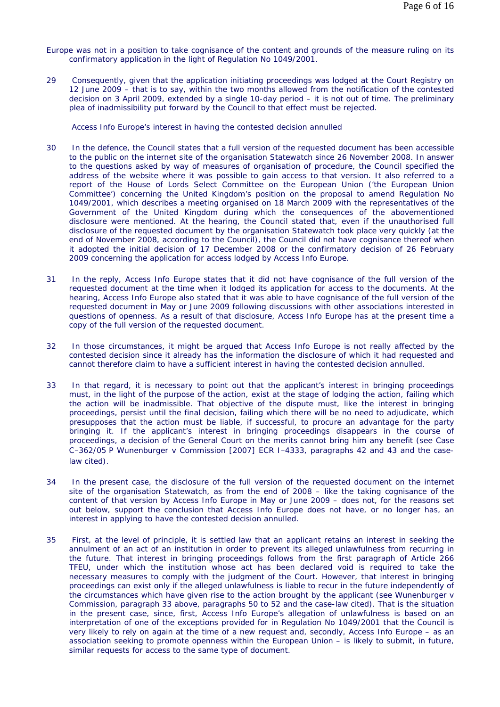- Europe was not in a position to take cognisance of the content and grounds of the measure ruling on its confirmatory application in the light of Regulation No 1049/2001.
- 29 Consequently, given that the application initiating proceedings was lodged at the Court Registry on 12 June 2009 – that is to say, within the two months allowed from the notification of the contested decision on 3 April 2009, extended by a single 10-day period – it is not out of time. The preliminary plea of inadmissibility put forward by the Council to that effect must be rejected.

Access Info Europe's interest in having the contested decision annulled

- 30 In the defence, the Council states that a full version of the requested document has been accessible to the public on the internet site of the organisation Statewatch since 26 November 2008. In answer to the questions asked by way of measures of organisation of procedure, the Council specified the address of the website where it was possible to gain access to that version. It also referred to a report of the House of Lords Select Committee on the European Union ('the European Union Committee') concerning the United Kingdom's position on the proposal to amend Regulation No 1049/2001, which describes a meeting organised on 18 March 2009 with the representatives of the Government of the United Kingdom during which the consequences of the abovementioned disclosure were mentioned. At the hearing, the Council stated that, even if the unauthorised full disclosure of the requested document by the organisation Statewatch took place very quickly (at the end of November 2008, according to the Council), the Council did not have cognisance thereof when it adopted the initial decision of 17 December 2008 or the confirmatory decision of 26 February 2009 concerning the application for access lodged by Access Info Europe.
- 31 In the reply, Access Info Europe states that it did not have cognisance of the full version of the requested document at the time when it lodged its application for access to the documents. At the hearing, Access Info Europe also stated that it was able to have cognisance of the full version of the requested document in May or June 2009 following discussions with other associations interested in questions of openness. As a result of that disclosure, Access Info Europe has at the present time a copy of the full version of the requested document.
- 32 In those circumstances, it might be argued that Access Info Europe is not really affected by the contested decision since it already has the information the disclosure of which it had requested and cannot therefore claim to have a sufficient interest in having the contested decision annulled.
- 33 In that regard, it is necessary to point out that the applicant's interest in bringing proceedings must, in the light of the purpose of the action, exist at the stage of lodging the action, failing which the action will be inadmissible. That objective of the dispute must, like the interest in bringing proceedings, persist until the final decision, failing which there will be no need to adjudicate, which presupposes that the action must be liable, if successful, to procure an advantage for the party bringing it. If the applicant's interest in bringing proceedings disappears in the course of proceedings, a decision of the General Court on the merits cannot bring him any benefit (see Case C-362/05 P *Wunenburger* v *Commission* [2007] ECR I-4333, paragraphs 42 and 43 and the caselaw cited).
- 34 In the present case, the disclosure of the full version of the requested document on the internet site of the organisation Statewatch, as from the end of 2008 – like the taking cognisance of the content of that version by Access Info Europe in May or June 2009 – does not, for the reasons set out below, support the conclusion that Access Info Europe does not have, or no longer has, an interest in applying to have the contested decision annulled.
- 35 First, at the level of principle, it is settled law that an applicant retains an interest in seeking the annulment of an act of an institution in order to prevent its alleged unlawfulness from recurring in the future. That interest in bringing proceedings follows from the first paragraph of Article 266 TFEU, under which the institution whose act has been declared void is required to take the necessary measures to comply with the judgment of the Court. However, that interest in bringing proceedings can exist only if the alleged unlawfulness is liable to recur in the future independently of the circumstances which have given rise to the action brought by the applicant (see *Wunenburger* v *Commission*, paragraph 33 above, paragraphs 50 to 52 and the case-law cited). That is the situation in the present case, since, first, Access Info Europe's allegation of unlawfulness is based on an interpretation of one of the exceptions provided for in Regulation No 1049/2001 that the Council is very likely to rely on again at the time of a new request and, secondly, Access Info Europe – as an association seeking to promote openness within the European Union – is likely to submit, in future, similar requests for access to the same type of document.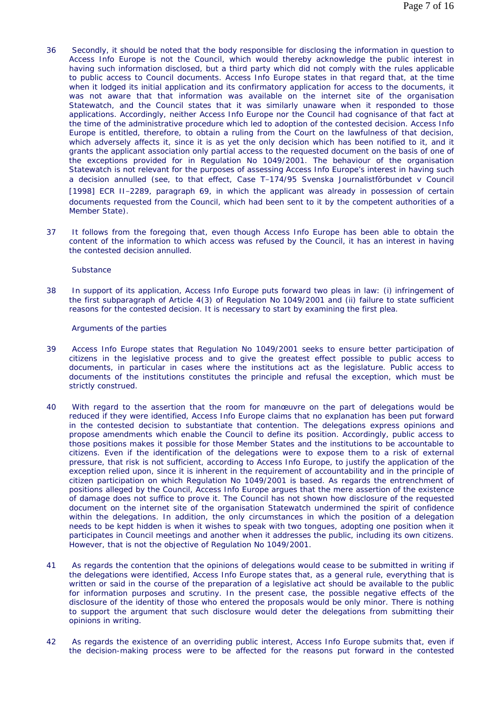- 36 Secondly, it should be noted that the body responsible for disclosing the information in question to Access Info Europe is not the Council, which would thereby acknowledge the public interest in having such information disclosed, but a third party which did not comply with the rules applicable to public access to Council documents. Access Info Europe states in that regard that, at the time when it lodged its initial application and its confirmatory application for access to the documents, it was not aware that that information was available on the internet site of the organisation Statewatch, and the Council states that it was similarly unaware when it responded to those applications. Accordingly, neither Access Info Europe nor the Council had cognisance of that fact at the time of the administrative procedure which led to adoption of the contested decision. Access Info Europe is entitled, therefore, to obtain a ruling from the Court on the lawfulness of that decision, which adversely affects it, since it is as yet the only decision which has been notified to it, and it grants the applicant association only partial access to the requested document on the basis of one of the exceptions provided for in Regulation No 1049/2001. The behaviour of the organisation Statewatch is not relevant for the purposes of assessing Access Info Europe's interest in having such a decision annulled (see, to that effect, Case T-174/95 *Svenska Journalistförbundet* v *Council* [1998] ECR II-2289, paragraph 69, in which the applicant was already in possession of certain documents requested from the Council, which had been sent to it by the competent authorities of a Member State).
- 37 It follows from the foregoing that, even though Access Info Europe has been able to obtain the content of the information to which access was refused by the Council, it has an interest in having the contested decision annulled.

#### *Substance*

38 In support of its application, Access Info Europe puts forward two pleas in law: (i) infringement of the first subparagraph of Article 4(3) of Regulation No 1049/2001 and (ii) failure to state sufficient reasons for the contested decision. It is necessary to start by examining the first plea.

Arguments of the parties

- 39 Access Info Europe states that Regulation No 1049/2001 seeks to ensure better participation of citizens in the legislative process and to give the greatest effect possible to public access to documents, in particular in cases where the institutions act as the legislature. Public access to documents of the institutions constitutes the principle and refusal the exception, which must be strictly construed.
- 40 With regard to the assertion that the room for manœuvre on the part of delegations would be reduced if they were identified, Access Info Europe claims that no explanation has been put forward in the contested decision to substantiate that contention. The delegations express opinions and propose amendments which enable the Council to define its position. Accordingly, public access to those positions makes it possible for those Member States and the institutions to be accountable to citizens. Even if the identification of the delegations were to expose them to a risk of external pressure, that risk is not sufficient, according to Access Info Europe, to justify the application of the exception relied upon, since it is inherent in the requirement of accountability and in the principle of citizen participation on which Regulation No 1049/2001 is based. As regards the entrenchment of positions alleged by the Council, Access Info Europe argues that the mere assertion of the existence of damage does not suffice to prove it. The Council has not shown how disclosure of the requested document on the internet site of the organisation Statewatch undermined the spirit of confidence within the delegations. In addition, the only circumstances in which the position of a delegation needs to be kept hidden is when it wishes to speak with two tongues, adopting one position when it participates in Council meetings and another when it addresses the public, including its own citizens. However, that is not the objective of Regulation No 1049/2001.
- 41 As regards the contention that the opinions of delegations would cease to be submitted in writing if the delegations were identified, Access Info Europe states that, as a general rule, everything that is written or said in the course of the preparation of a legislative act should be available to the public for information purposes and scrutiny. In the present case, the possible negative effects of the disclosure of the identity of those who entered the proposals would be only minor. There is nothing to support the argument that such disclosure would deter the delegations from submitting their opinions in writing.
- 42 As regards the existence of an overriding public interest, Access Info Europe submits that, even if the decision-making process were to be affected for the reasons put forward in the contested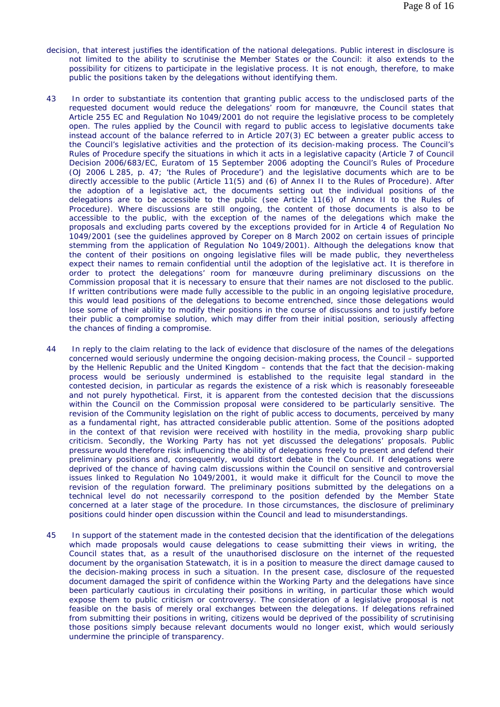- decision, that interest justifies the identification of the national delegations. Public interest in disclosure is not limited to the ability to scrutinise the Member States or the Council: it also extends to the possibility for citizens to participate in the legislative process. It is not enough, therefore, to make public the positions taken by the delegations without identifying them.
- 43 In order to substantiate its contention that granting public access to the undisclosed parts of the requested document would reduce the delegations' room for manœuvre, the Council states that Article 255 EC and Regulation No 1049/2001 do not require the legislative process to be completely open. The rules applied by the Council with regard to public access to legislative documents take instead account of the balance referred to in Article 207(3) EC between a greater public access to the Council's legislative activities and the protection of its decision-making process. The Council's Rules of Procedure specify the situations in which it acts in a legislative capacity (Article 7 of Council Decision 2006/683/EC, Euratom of 15 September 2006 adopting the Council's Rules of Procedure (OJ 2006 L 285, p. 47; 'the Rules of Procedure') and the legislative documents which are to be directly accessible to the public (Article 11(5) and (6) of Annex II to the Rules of Procedure). After the adoption of a legislative act, the documents setting out the individual positions of the delegations are to be accessible to the public (see Article 11(6) of Annex II to the Rules of Procedure). Where discussions are still ongoing, the content of those documents is also to be accessible to the public, with the exception of the names of the delegations which make the proposals and excluding parts covered by the exceptions provided for in Article 4 of Regulation No 1049/2001 (see the guidelines approved by Coreper on 8 March 2002 on certain issues of principle stemming from the application of Regulation No 1049/2001). Although the delegations know that the content of their positions on ongoing legislative files will be made public, they nevertheless expect their names to remain confidential until the adoption of the legislative act. It is therefore in order to protect the delegations' room for manœuvre during preliminary discussions on the Commission proposal that it is necessary to ensure that their names are not disclosed to the public. If written contributions were made fully accessible to the public in an ongoing legislative procedure, this would lead positions of the delegations to become entrenched, since those delegations would lose some of their ability to modify their positions in the course of discussions and to justify before their public a compromise solution, which may differ from their initial position, seriously affecting the chances of finding a compromise.
- 44 In reply to the claim relating to the lack of evidence that disclosure of the names of the delegations concerned would seriously undermine the ongoing decision-making process, the Council – supported by the Hellenic Republic and the United Kingdom – contends that the fact that the decision-making process would be seriously undermined is established to the requisite legal standard in the contested decision, in particular as regards the existence of a risk which is reasonably foreseeable and not purely hypothetical. First, it is apparent from the contested decision that the discussions within the Council on the Commission proposal were considered to be particularly sensitive. The revision of the Community legislation on the right of public access to documents, perceived by many as a fundamental right, has attracted considerable public attention. Some of the positions adopted in the context of that revision were received with hostility in the media, provoking sharp public criticism. Secondly, the Working Party has not yet discussed the delegations' proposals. Public pressure would therefore risk influencing the ability of delegations freely to present and defend their preliminary positions and, consequently, would distort debate in the Council. If delegations were deprived of the chance of having calm discussions within the Council on sensitive and controversial issues linked to Regulation No 1049/2001, it would make it difficult for the Council to move the revision of the regulation forward. The preliminary positions submitted by the delegations on a technical level do not necessarily correspond to the position defended by the Member State concerned at a later stage of the procedure. In those circumstances, the disclosure of preliminary positions could hinder open discussion within the Council and lead to misunderstandings.
- 45 In support of the statement made in the contested decision that the identification of the delegations which made proposals would cause delegations to cease submitting their views in writing, the Council states that, as a result of the unauthorised disclosure on the internet of the requested document by the organisation Statewatch, it is in a position to measure the direct damage caused to the decision-making process in such a situation. In the present case, disclosure of the requested document damaged the spirit of confidence within the Working Party and the delegations have since been particularly cautious in circulating their positions in writing, in particular those which would expose them to public criticism or controversy. The consideration of a legislative proposal is not feasible on the basis of merely oral exchanges between the delegations. If delegations refrained from submitting their positions in writing, citizens would be deprived of the possibility of scrutinising those positions simply because relevant documents would no longer exist, which would seriously undermine the principle of transparency.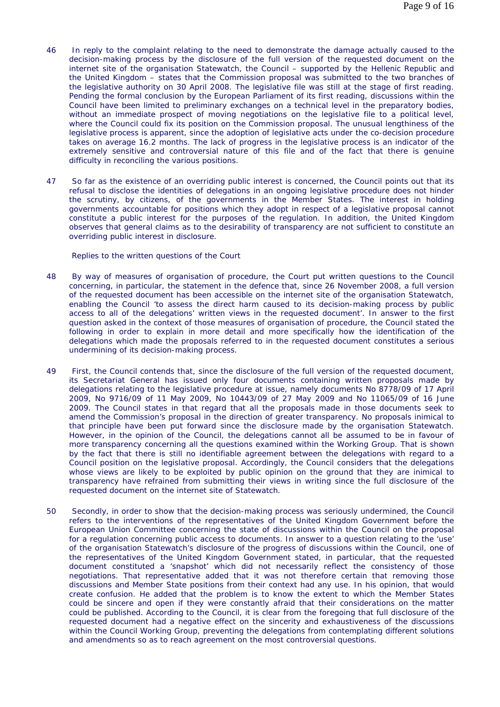- 46 In reply to the complaint relating to the need to demonstrate the damage actually caused to the decision-making process by the disclosure of the full version of the requested document on the internet site of the organisation Statewatch, the Council – supported by the Hellenic Republic and the United Kingdom – states that the Commission proposal was submitted to the two branches of the legislative authority on 30 April 2008. The legislative file was still at the stage of first reading. Pending the formal conclusion by the European Parliament of its first reading, discussions within the Council have been limited to preliminary exchanges on a technical level in the preparatory bodies, without an immediate prospect of moving negotiations on the legislative file to a political level, where the Council could fix its position on the Commission proposal. The unusual lengthiness of the legislative process is apparent, since the adoption of legislative acts under the co-decision procedure takes on average 16.2 months. The lack of progress in the legislative process is an indicator of the extremely sensitive and controversial nature of this file and of the fact that there is genuine difficulty in reconciling the various positions.
- 47 So far as the existence of an overriding public interest is concerned, the Council points out that its refusal to disclose the identities of delegations in an ongoing legislative procedure does not hinder the scrutiny, by citizens, of the governments in the Member States. The interest in holding governments accountable for positions which they adopt in respect of a legislative proposal cannot constitute a public interest for the purposes of the regulation. In addition, the United Kingdom observes that general claims as to the desirability of transparency are not sufficient to constitute an overriding public interest in disclosure.

Replies to the written questions of the Court

- 48 By way of measures of organisation of procedure, the Court put written questions to the Council concerning, in particular, the statement in the defence that, since 26 November 2008, a full version of the requested document has been accessible on the internet site of the organisation Statewatch, enabling the Council 'to assess the direct harm caused to its decision-making process by public access to all of the delegations' written views in the requested document'. In answer to the first question asked in the context of those measures of organisation of procedure, the Council stated the following in order to explain in more detail and more specifically how the identification of the delegations which made the proposals referred to in the requested document constitutes a serious undermining of its decision-making process.
- 49 First, the Council contends that, since the disclosure of the full version of the requested document, its Secretariat General has issued only four documents containing written proposals made by delegations relating to the legislative procedure at issue, namely documents No 8778/09 of 17 April 2009, No 9716/09 of 11 May 2009, No 10443/09 of 27 May 2009 and No 11065/09 of 16 June 2009. The Council states in that regard that all the proposals made in those documents seek to amend the Commission's proposal in the direction of greater transparency. No proposals inimical to that principle have been put forward since the disclosure made by the organisation Statewatch. However, in the opinion of the Council, the delegations cannot all be assumed to be in favour of more transparency concerning all the questions examined within the Working Group. That is shown by the fact that there is still no identifiable agreement between the delegations with regard to a Council position on the legislative proposal. Accordingly, the Council considers that the delegations whose views are likely to be exploited by public opinion on the ground that they are inimical to transparency have refrained from submitting their views in writing since the full disclosure of the requested document on the internet site of Statewatch.
- 50 Secondly, in order to show that the decision-making process was seriously undermined, the Council refers to the interventions of the representatives of the United Kingdom Government before the European Union Committee concerning the state of discussions within the Council on the proposal for a regulation concerning public access to documents. In answer to a question relating to the 'use' of the organisation Statewatch's disclosure of the progress of discussions within the Council, one of the representatives of the United Kingdom Government stated, in particular, that the requested document constituted a 'snapshot' which did not necessarily reflect the consistency of those negotiations. That representative added that it was not therefore certain that removing those discussions and Member State positions from their context had any use. In his opinion, that would create confusion. He added that the problem is to know the extent to which the Member States could be sincere and open if they were constantly afraid that their considerations on the matter could be published. According to the Council, it is clear from the foregoing that full disclosure of the requested document had a negative effect on the sincerity and exhaustiveness of the discussions within the Council Working Group, preventing the delegations from contemplating different solutions and amendments so as to reach agreement on the most controversial questions.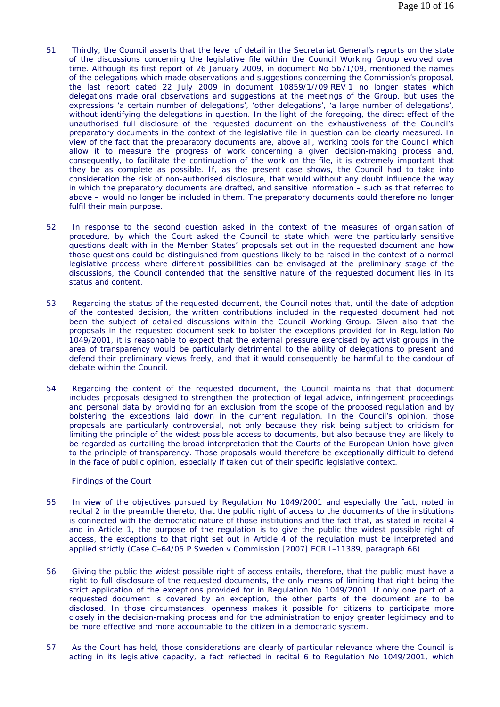- 51 Thirdly, the Council asserts that the level of detail in the Secretariat General's reports on the state of the discussions concerning the legislative file within the Council Working Group evolved over time. Although its first report of 26 January 2009, in document No 5671/09, mentioned the names of the delegations which made observations and suggestions concerning the Commission's proposal, the last report dated 22 July 2009 in document 10859/1//09 REV 1 no longer states which delegations made oral observations and suggestions at the meetings of the Group, but uses the expressions 'a certain number of delegations', 'other delegations', 'a large number of delegations', without identifying the delegations in question. In the light of the foregoing, the direct effect of the unauthorised full disclosure of the requested document on the exhaustiveness of the Council's preparatory documents in the context of the legislative file in question can be clearly measured. In view of the fact that the preparatory documents are, above all, working tools for the Council which allow it to measure the progress of work concerning a given decision-making process and, consequently, to facilitate the continuation of the work on the file, it is extremely important that they be as complete as possible. If, as the present case shows, the Council had to take into consideration the risk of non-authorised disclosure, that would without any doubt influence the way in which the preparatory documents are drafted, and sensitive information – such as that referred to above – would no longer be included in them. The preparatory documents could therefore no longer fulfil their main purpose.
- 52 In response to the second question asked in the context of the measures of organisation of procedure, by which the Court asked the Council to state which were the particularly sensitive questions dealt with in the Member States' proposals set out in the requested document and how those questions could be distinguished from questions likely to be raised in the context of a normal legislative process where different possibilities can be envisaged at the preliminary stage of the discussions, the Council contended that the sensitive nature of the requested document lies in its status and content.
- 53 Regarding the status of the requested document, the Council notes that, until the date of adoption of the contested decision, the written contributions included in the requested document had not been the subject of detailed discussions within the Council Working Group. Given also that the proposals in the requested document seek to bolster the exceptions provided for in Regulation No 1049/2001, it is reasonable to expect that the external pressure exercised by activist groups in the area of transparency would be particularly detrimental to the ability of delegations to present and defend their preliminary views freely, and that it would consequently be harmful to the candour of debate within the Council.
- 54 Regarding the content of the requested document, the Council maintains that that document includes proposals designed to strengthen the protection of legal advice, infringement proceedings and personal data by providing for an exclusion from the scope of the proposed regulation and by bolstering the exceptions laid down in the current regulation. In the Council's opinion, those proposals are particularly controversial, not only because they risk being subject to criticism for limiting the principle of the widest possible access to documents, but also because they are likely to be regarded as curtailing the broad interpretation that the Courts of the European Union have given to the principle of transparency. Those proposals would therefore be exceptionally difficult to defend in the face of public opinion, especially if taken out of their specific legislative context.

## Findings of the Court

- 55 In view of the objectives pursued by Regulation No 1049/2001 and especially the fact, noted in recital 2 in the preamble thereto, that the public right of access to the documents of the institutions is connected with the democratic nature of those institutions and the fact that, as stated in recital 4 and in Article 1, the purpose of the regulation is to give the public the widest possible right of access, the exceptions to that right set out in Article 4 of the regulation must be interpreted and applied strictly (Case C-64/05 P *Sweden* v *Commission* [2007] ECR I-11389, paragraph 66).
- 56 Giving the public the widest possible right of access entails, therefore, that the public must have a right to full disclosure of the requested documents, the only means of limiting that right being the strict application of the exceptions provided for in Regulation No 1049/2001. If only one part of a requested document is covered by an exception, the other parts of the document are to be disclosed. In those circumstances, openness makes it possible for citizens to participate more closely in the decision-making process and for the administration to enjoy greater legitimacy and to be more effective and more accountable to the citizen in a democratic system.
- 57 As the Court has held, those considerations are clearly of particular relevance where the Council is acting in its legislative capacity, a fact reflected in recital 6 to Regulation No 1049/2001, which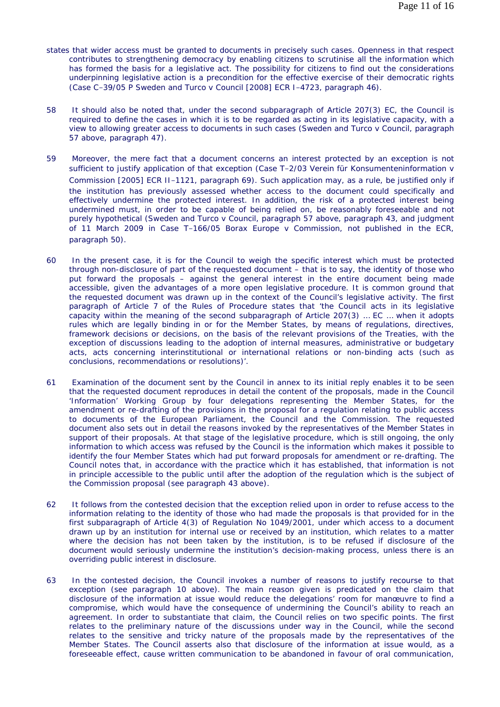- states that wider access must be granted to documents in precisely such cases. Openness in that respect contributes to strengthening democracy by enabling citizens to scrutinise all the information which has formed the basis for a legislative act. The possibility for citizens to find out the considerations underpinning legislative action is a precondition for the effective exercise of their democratic rights (Case C-39/05 P *Sweden and Turco* v *Council* [2008] ECR I-4723, paragraph 46).
- 58 It should also be noted that, under the second subparagraph of Article 207(3) EC, the Council is required to define the cases in which it is to be regarded as acting in its legislative capacity, with a view to allowing greater access to documents in such cases (*Sweden and Turco* v *Council*, paragraph 57 above, paragraph 47).
- 59 Moreover, the mere fact that a document concerns an interest protected by an exception is not sufficient to justify application of that exception (Case T-2/03 *Verein für Konsumenteninformation* v *Commission* [2005] ECR II-1121, paragraph 69). Such application may, as a rule, be justified only if the institution has previously assessed whether access to the document could specifically and effectively undermine the protected interest. In addition, the risk of a protected interest being undermined must, in order to be capable of being relied on, be reasonably foreseeable and not purely hypothetical (*Sweden and Turco* v *Council*, paragraph 57 above, paragraph 43, and judgment of 11 March 2009 in Case T-166/05 *Borax Europe* v *Commission*, not published in the ECR, paragraph 50).
- 60 In the present case, it is for the Council to weigh the specific interest which must be protected through non-disclosure of part of the requested document – that is to say, the identity of those who put forward the proposals – against the general interest in the entire document being made accessible, given the advantages of a more open legislative procedure. It is common ground that the requested document was drawn up in the context of the Council's legislative activity. The first paragraph of Article 7 of the Rules of Procedure states that 'the Council acts in its legislative capacity within the meaning of the second subparagraph of Article 207(3) … EC … when it adopts rules which are legally binding in or for the Member States, by means of regulations, directives, framework decisions or decisions, on the basis of the relevant provisions of the Treaties, with the exception of discussions leading to the adoption of internal measures, administrative or budgetary acts, acts concerning interinstitutional or international relations or non-binding acts (such as conclusions, recommendations or resolutions)'.
- 61 Examination of the document sent by the Council in annex to its initial reply enables it to be seen that the requested document reproduces in detail the content of the proposals, made in the Council 'Information' Working Group by four delegations representing the Member States, for the amendment or re-drafting of the provisions in the proposal for a regulation relating to public access to documents of the European Parliament, the Council and the Commission. The requested document also sets out in detail the reasons invoked by the representatives of the Member States in support of their proposals. At that stage of the legislative procedure, which is still ongoing, the only information to which access was refused by the Council is the information which makes it possible to identify the four Member States which had put forward proposals for amendment or re-drafting. The Council notes that, in accordance with the practice which it has established, that information is not in principle accessible to the public until after the adoption of the regulation which is the subject of the Commission proposal (see paragraph 43 above).
- 62 It follows from the contested decision that the exception relied upon in order to refuse access to the information relating to the identity of those who had made the proposals is that provided for in the first subparagraph of Article 4(3) of Regulation No 1049/2001, under which access to a document drawn up by an institution for internal use or received by an institution, which relates to a matter where the decision has not been taken by the institution, is to be refused if disclosure of the document would seriously undermine the institution's decision-making process, unless there is an overriding public interest in disclosure.
- 63 In the contested decision, the Council invokes a number of reasons to justify recourse to that exception (see paragraph 10 above). The main reason given is predicated on the claim that disclosure of the information at issue would reduce the delegations' room for manœuvre to find a compromise, which would have the consequence of undermining the Council's ability to reach an agreement. In order to substantiate that claim, the Council relies on two specific points. The first relates to the preliminary nature of the discussions under way in the Council, while the second relates to the sensitive and tricky nature of the proposals made by the representatives of the Member States. The Council asserts also that disclosure of the information at issue would, as a foreseeable effect, cause written communication to be abandoned in favour of oral communication,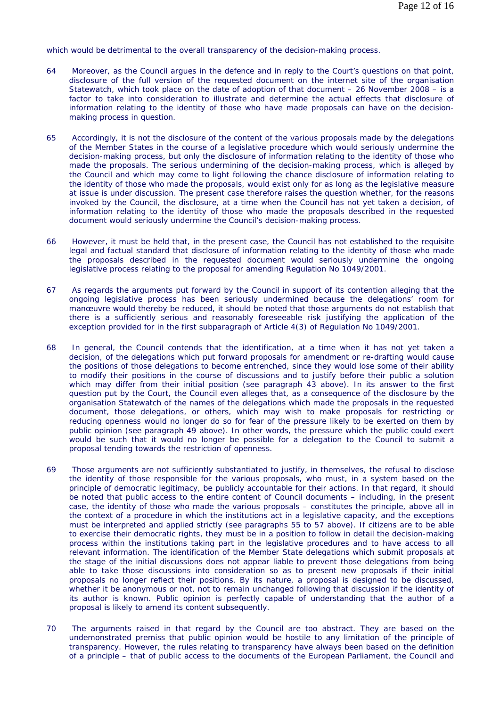which would be detrimental to the overall transparency of the decision-making process.

- 64 Moreover, as the Council argues in the defence and in reply to the Court's questions on that point, disclosure of the full version of the requested document on the internet site of the organisation Statewatch, which took place on the date of adoption of that document – 26 November 2008 – is a factor to take into consideration to illustrate and determine the actual effects that disclosure of information relating to the identity of those who have made proposals can have on the decisionmaking process in question.
- 65 Accordingly, it is not the disclosure of the content of the various proposals made by the delegations of the Member States in the course of a legislative procedure which would seriously undermine the decision-making process, but only the disclosure of information relating to the identity of those who made the proposals. The serious undermining of the decision-making process, which is alleged by the Council and which may come to light following the chance disclosure of information relating to the identity of those who made the proposals, would exist only for as long as the legislative measure at issue is under discussion. The present case therefore raises the question whether, for the reasons invoked by the Council, the disclosure, at a time when the Council has not yet taken a decision, of information relating to the identity of those who made the proposals described in the requested document would seriously undermine the Council's decision-making process.
- 66 However, it must be held that, in the present case, the Council has not established to the requisite legal and factual standard that disclosure of information relating to the identity of those who made the proposals described in the requested document would seriously undermine the ongoing legislative process relating to the proposal for amending Regulation No 1049/2001.
- 67 As regards the arguments put forward by the Council in support of its contention alleging that the ongoing legislative process has been seriously undermined because the delegations' room for manœuvre would thereby be reduced, it should be noted that those arguments do not establish that there is a sufficiently serious and reasonably foreseeable risk justifying the application of the exception provided for in the first subparagraph of Article 4(3) of Regulation No 1049/2001.
- 68 In general, the Council contends that the identification, at a time when it has not yet taken a decision, of the delegations which put forward proposals for amendment or re-drafting would cause the positions of those delegations to become entrenched, since they would lose some of their ability to modify their positions in the course of discussions and to justify before their public a solution which may differ from their initial position (see paragraph 43 above). In its answer to the first question put by the Court, the Council even alleges that, as a consequence of the disclosure by the organisation Statewatch of the names of the delegations which made the proposals in the requested document, those delegations, or others, which may wish to make proposals for restricting or reducing openness would no longer do so for fear of the pressure likely to be exerted on them by public opinion (see paragraph 49 above). In other words, the pressure which the public could exert would be such that it would no longer be possible for a delegation to the Council to submit a proposal tending towards the restriction of openness.
- 69 Those arguments are not sufficiently substantiated to justify, in themselves, the refusal to disclose the identity of those responsible for the various proposals, who must, in a system based on the principle of democratic legitimacy, be publicly accountable for their actions. In that regard, it should be noted that public access to the entire content of Council documents – including, in the present case, the identity of those who made the various proposals – constitutes the principle, above all in the context of a procedure in which the institutions act in a legislative capacity, and the exceptions must be interpreted and applied strictly (see paragraphs 55 to 57 above). If citizens are to be able to exercise their democratic rights, they must be in a position to follow in detail the decision-making process within the institutions taking part in the legislative procedures and to have access to all relevant information. The identification of the Member State delegations which submit proposals at the stage of the initial discussions does not appear liable to prevent those delegations from being able to take those discussions into consideration so as to present new proposals if their initial proposals no longer reflect their positions. By its nature, a proposal is designed to be discussed, whether it be anonymous or not, not to remain unchanged following that discussion if the identity of its author is known. Public opinion is perfectly capable of understanding that the author of a proposal is likely to amend its content subsequently.
- 70 The arguments raised in that regard by the Council are too abstract. They are based on the undemonstrated premiss that public opinion would be hostile to any limitation of the principle of transparency. However, the rules relating to transparency have always been based on the definition of a principle – that of public access to the documents of the European Parliament, the Council and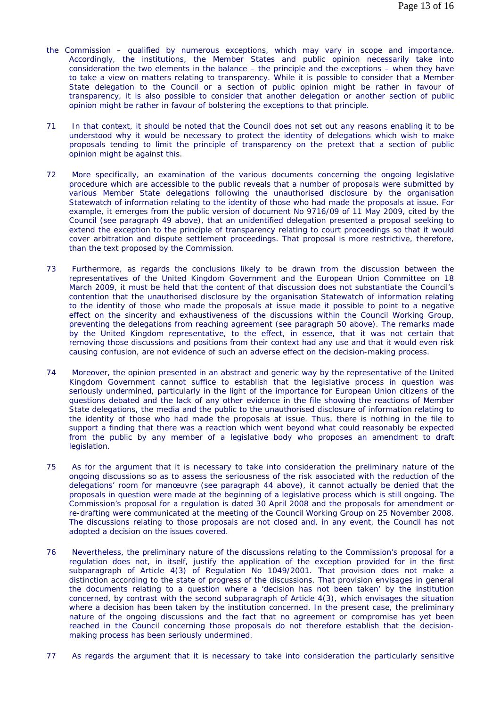- the Commission qualified by numerous exceptions, which may vary in scope and importance. Accordingly, the institutions, the Member States and public opinion necessarily take into consideration the two elements in the balance – the principle and the exceptions – when they have to take a view on matters relating to transparency. While it is possible to consider that a Member State delegation to the Council or a section of public opinion might be rather in favour of transparency, it is also possible to consider that another delegation or another section of public opinion might be rather in favour of bolstering the exceptions to that principle.
- 71 In that context, it should be noted that the Council does not set out any reasons enabling it to be understood why it would be necessary to protect the identity of delegations which wish to make proposals tending to limit the principle of transparency on the pretext that a section of public opinion might be against this.
- 72 More specifically, an examination of the various documents concerning the ongoing legislative procedure which are accessible to the public reveals that a number of proposals were submitted by various Member State delegations following the unauthorised disclosure by the organisation Statewatch of information relating to the identity of those who had made the proposals at issue. For example, it emerges from the public version of document No 9716/09 of 11 May 2009, cited by the Council (see paragraph 49 above), that an unidentified delegation presented a proposal seeking to extend the exception to the principle of transparency relating to court proceedings so that it would cover arbitration and dispute settlement proceedings. That proposal is more restrictive, therefore, than the text proposed by the Commission.
- 73 Furthermore, as regards the conclusions likely to be drawn from the discussion between the representatives of the United Kingdom Government and the European Union Committee on 18 March 2009, it must be held that the content of that discussion does not substantiate the Council's contention that the unauthorised disclosure by the organisation Statewatch of information relating to the identity of those who made the proposals at issue made it possible to point to a negative effect on the sincerity and exhaustiveness of the discussions within the Council Working Group, preventing the delegations from reaching agreement (see paragraph 50 above). The remarks made by the United Kingdom representative, to the effect, in essence, that it was not certain that removing those discussions and positions from their context had any use and that it would even risk causing confusion, are not evidence of such an adverse effect on the decision-making process.
- 74 Moreover, the opinion presented in an abstract and generic way by the representative of the United Kingdom Government cannot suffice to establish that the legislative process in question was seriously undermined, particularly in the light of the importance for European Union citizens of the questions debated and the lack of any other evidence in the file showing the reactions of Member State delegations, the media and the public to the unauthorised disclosure of information relating to the identity of those who had made the proposals at issue. Thus, there is nothing in the file to support a finding that there was a reaction which went beyond what could reasonably be expected from the public by any member of a legislative body who proposes an amendment to draft legislation.
- 75 As for the argument that it is necessary to take into consideration the preliminary nature of the ongoing discussions so as to assess the seriousness of the risk associated with the reduction of the delegations' room for manœuvre (see paragraph 44 above), it cannot actually be denied that the proposals in question were made at the beginning of a legislative process which is still ongoing. The Commission's proposal for a regulation is dated 30 April 2008 and the proposals for amendment or re-drafting were communicated at the meeting of the Council Working Group on 25 November 2008. The discussions relating to those proposals are not closed and, in any event, the Council has not adopted a decision on the issues covered.
- 76 Nevertheless, the preliminary nature of the discussions relating to the Commission's proposal for a regulation does not, in itself, justify the application of the exception provided for in the first subparagraph of Article 4(3) of Regulation No 1049/2001. That provision does not make a distinction according to the state of progress of the discussions. That provision envisages in general the documents relating to a question where a 'decision has not been taken' by the institution concerned, by contrast with the second subparagraph of Article 4(3), which envisages the situation where a decision has been taken by the institution concerned. In the present case, the preliminary nature of the ongoing discussions and the fact that no agreement or compromise has yet been reached in the Council concerning those proposals do not therefore establish that the decisionmaking process has been seriously undermined.
- 77 As regards the argument that it is necessary to take into consideration the particularly sensitive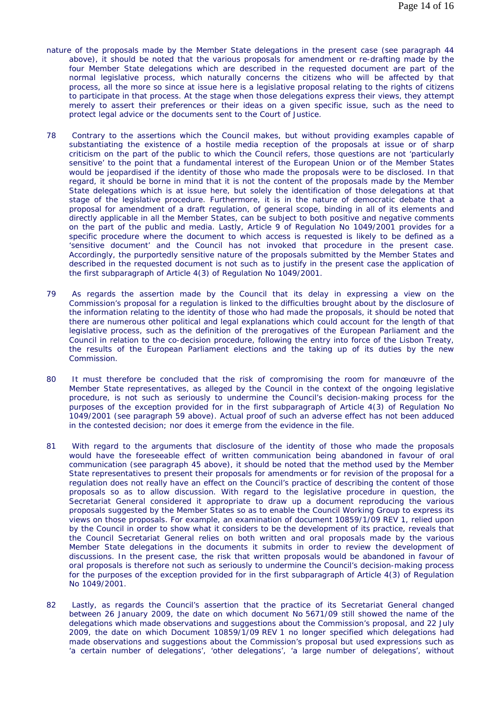- nature of the proposals made by the Member State delegations in the present case (see paragraph 44 above), it should be noted that the various proposals for amendment or re-drafting made by the four Member State delegations which are described in the requested document are part of the normal legislative process, which naturally concerns the citizens who will be affected by that process, all the more so since at issue here is a legislative proposal relating to the rights of citizens to participate in that process. At the stage when those delegations express their views, they attempt merely to assert their preferences or their ideas on a given specific issue, such as the need to protect legal advice or the documents sent to the Court of Justice.
- 78 Contrary to the assertions which the Council makes, but without providing examples capable of substantiating the existence of a hostile media reception of the proposals at issue or of sharp criticism on the part of the public to which the Council refers, those questions are not 'particularly sensitive' to the point that a fundamental interest of the European Union or of the Member States would be jeopardised if the identity of those who made the proposals were to be disclosed. In that regard, it should be borne in mind that it is not the content of the proposals made by the Member State delegations which is at issue here, but solely the identification of those delegations at that stage of the legislative procedure. Furthermore, it is in the nature of democratic debate that a proposal for amendment of a draft regulation, of general scope, binding in all of its elements and directly applicable in all the Member States, can be subject to both positive and negative comments on the part of the public and media. Lastly, Article 9 of Regulation No 1049/2001 provides for a specific procedure where the document to which access is requested is likely to be defined as a 'sensitive document' and the Council has not invoked that procedure in the present case. Accordingly, the purportedly sensitive nature of the proposals submitted by the Member States and described in the requested document is not such as to justify in the present case the application of the first subparagraph of Article 4(3) of Regulation No 1049/2001.
- 79 As regards the assertion made by the Council that its delay in expressing a view on the Commission's proposal for a regulation is linked to the difficulties brought about by the disclosure of the information relating to the identity of those who had made the proposals, it should be noted that there are numerous other political and legal explanations which could account for the length of that legislative process, such as the definition of the prerogatives of the European Parliament and the Council in relation to the co-decision procedure, following the entry into force of the Lisbon Treaty, the results of the European Parliament elections and the taking up of its duties by the new Commission.
- 80 It must therefore be concluded that the risk of compromising the room for manœuvre of the Member State representatives, as alleged by the Council in the context of the ongoing legislative procedure, is not such as seriously to undermine the Council's decision-making process for the purposes of the exception provided for in the first subparagraph of Article 4(3) of Regulation No 1049/2001 (see paragraph 59 above). Actual proof of such an adverse effect has not been adduced in the contested decision; nor does it emerge from the evidence in the file.
- 81 With regard to the arguments that disclosure of the identity of those who made the proposals would have the foreseeable effect of written communication being abandoned in favour of oral communication (see paragraph 45 above), it should be noted that the method used by the Member State representatives to present their proposals for amendments or for revision of the proposal for a regulation does not really have an effect on the Council's practice of describing the content of those proposals so as to allow discussion. With regard to the legislative procedure in question, the Secretariat General considered it appropriate to draw up a document reproducing the various proposals suggested by the Member States so as to enable the Council Working Group to express its views on those proposals. For example, an examination of document 10859/1/09 REV 1, relied upon by the Council in order to show what it considers to be the development of its practice, reveals that the Council Secretariat General relies on both written and oral proposals made by the various Member State delegations in the documents it submits in order to review the development of discussions. In the present case, the risk that written proposals would be abandoned in favour of oral proposals is therefore not such as seriously to undermine the Council's decision-making process for the purposes of the exception provided for in the first subparagraph of Article 4(3) of Regulation No 1049/2001.
- 82 Lastly, as regards the Council's assertion that the practice of its Secretariat General changed between 26 January 2009, the date on which document No 5671/09 still showed the name of the delegations which made observations and suggestions about the Commission's proposal, and 22 July 2009, the date on which Document 10859/1/09 REV 1 no longer specified which delegations had made observations and suggestions about the Commission's proposal but used expressions such as 'a certain number of delegations', 'other delegations', 'a large number of delegations', without